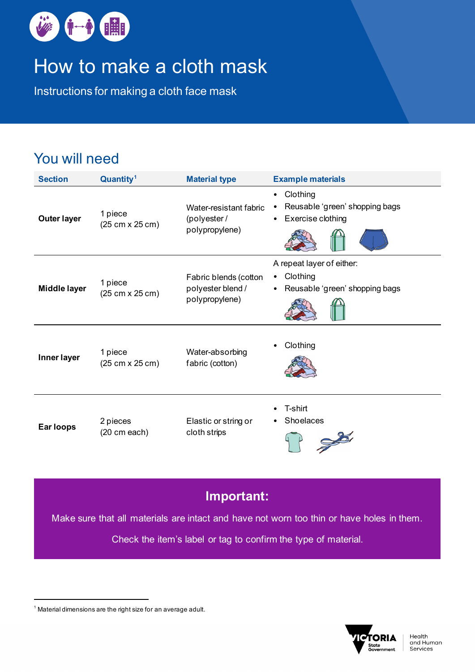

# How to make a cloth mask

Instructions for making a cloth face mask

## You will need

| <b>Section</b>      | Quantity <sup>1</sup>      | <b>Material type</b>                                         | <b>Example materials</b>                                                                  |
|---------------------|----------------------------|--------------------------------------------------------------|-------------------------------------------------------------------------------------------|
| <b>Outer layer</b>  | 1 piece<br>(25 cm x 25 cm) | Water-resistant fabric<br>(polyester/<br>polypropylene)      | Clothing<br>٠<br>Reusable 'green' shopping bags<br>Exercise clothing<br>$\bullet$         |
| <b>Middle layer</b> | 1 piece<br>(25 cm x 25 cm) | Fabric blends (cotton<br>polyester blend /<br>polypropylene) | A repeat layer of either:<br>Clothing<br>٠<br>Reusable 'green' shopping bags<br>$\bullet$ |
| Inner layer         | 1 piece<br>(25 cm x 25 cm) | Water-absorbing<br>fabric (cotton)                           | Clothing                                                                                  |
| Ear loops           | 2 pieces<br>(20 cm each)   | Elastic or string or<br>cloth strips                         | T-shirt<br>Shoelaces                                                                      |

#### **Important:**

Make sure that all materials are intact and have not worn too thin or have holes in them.

Check the item's label or tag to confirm the type of material.



<span id="page-0-0"></span> $1$  Material dimensions are the right size for an average adult.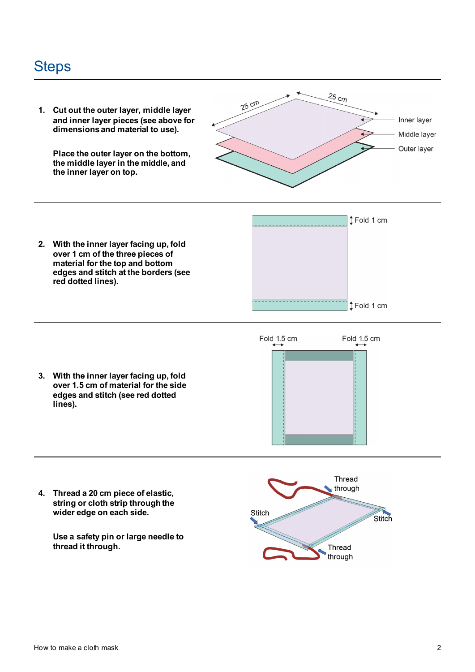### **Steps**



**4. Thread a 20 cm piece of elastic, string or cloth strip through the wider edge on each side.**

> **Use a safety pin or large needle to thread it through.**

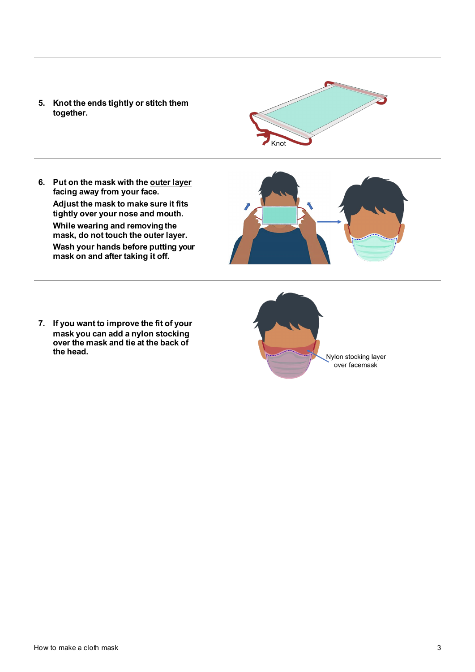**5. Knot the ends tightly or stitch them together.**



**6. Put on the mask with the outer layer facing away from your face. Adjust the mask to make sure it fits tightly over your nose and mouth. While wearing and removing the mask, do not touch the outer layer. Wash your hands before putting your mask on and after taking it off.**



**7. If you want to improve the fit of your mask you can add a nylon stocking over the mask and tie at the back of the head.**

Nylon stocking layer over facemask